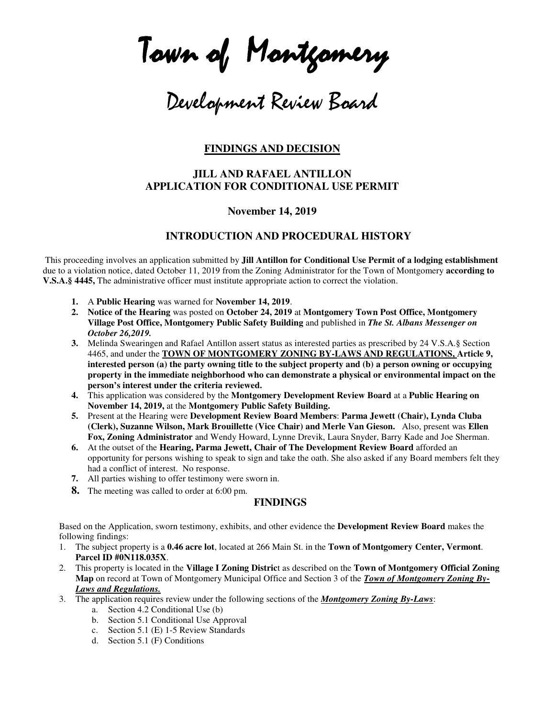Town of Montgomery

Development Review Board

## **FINDINGS AND DECISION**

## **JILL AND RAFAEL ANTILLON APPLICATION FOR CONDITIONAL USE PERMIT**

### **November 14, 2019**

### **INTRODUCTION AND PROCEDURAL HISTORY**

 This proceeding involves an application submitted by **Jill Antillon for Conditional Use Permit of a lodging establishment** due to a violation notice, dated October 11, 2019 from the Zoning Administrator for the Town of Montgomery **according to V.S.A.§ 4445,** The administrative officer must institute appropriate action to correct the violation.

- **1.** A **Public Hearing** was warned for **November 14, 2019**.
- **2. Notice of the Hearing** was posted on **October 24, 2019** at **Montgomery Town Post Office, Montgomery Village Post Office, Montgomery Public Safety Building** and published in *The St. Albans Messenger on October 26,2019.*
- **3.** Melinda Swearingen and Rafael Antillon assert status as interested parties as prescribed by 24 V.S.A.§ Section 4465, and under the **TOWN OF MONTGOMERY ZONING BY-LAWS AND REGULATIONS, Article 9, interested person (a) the party owning title to the subject property and (b) a person owning or occupying property in the immediate neighborhood who can demonstrate a physical or environmental impact on the person's interest under the criteria reviewed.**
- **4.** This application was considered by the **Montgomery Development Review Board** at a **Public Hearing on November 14, 2019,** at the **Montgomery Public Safety Building.**
- **5.** Present at the Hearing were **Development Review Board Members**: **Parma Jewett (Chair), Lynda Cluba (Clerk), Suzanne Wilson, Mark Brouillette (Vice Chair) and Merle Van Gieson.** Also, present was **Ellen Fox, Zoning Administrator** and Wendy Howard, Lynne Drevik, Laura Snyder, Barry Kade and Joe Sherman.
- **6.** At the outset of the **Hearing, Parma Jewett, Chair of The Development Review Board** afforded an opportunity for persons wishing to speak to sign and take the oath. She also asked if any Board members felt they had a conflict of interest. No response.
- **7.** All parties wishing to offer testimony were sworn in.
- **8.** The meeting was called to order at 6:00 pm.

### **FINDINGS**

Based on the Application, sworn testimony, exhibits, and other evidence the **Development Review Board** makes the following findings:

- 1. The subject property is a **0.46 acre lot**, located at 266 Main St. in the **Town of Montgomery Center, Vermont**. **Parcel ID #0N118.035X**.
- 2. This property is located in the **Village I Zoning Distric**t as described on the **Town of Montgomery Official Zoning Map** on record at Town of Montgomery Municipal Office and Section 3 of the *Town of Montgomery Zoning By-Laws and Regulations.*
- 3. The application requires review under the following sections of the *Montgomery Zoning By-Laws*:
	- a. Section 4.2 Conditional Use (b)
	- b. Section 5.1 Conditional Use Approval
	- c. Section 5.1 (E) 1-5 Review Standards
	- d. Section 5.1 (F) Conditions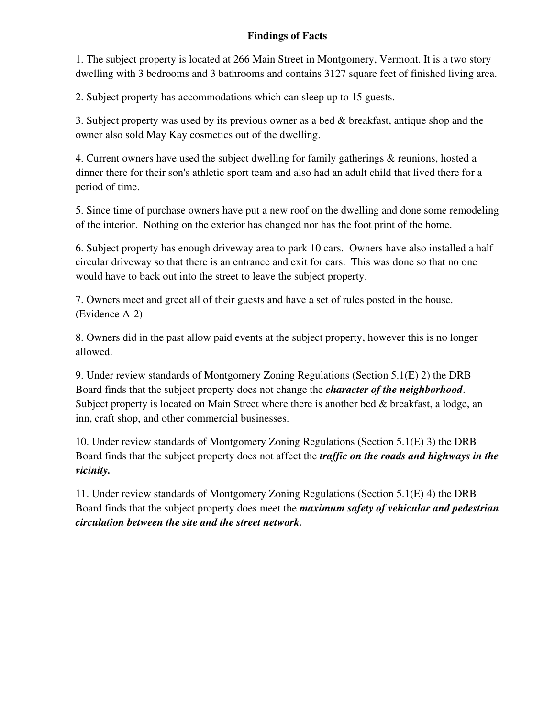# **Findings of Facts**

1. The subject property is located at 266 Main Street in Montgomery, Vermont. It is a two story dwelling with 3 bedrooms and 3 bathrooms and contains 3127 square feet of finished living area.

2. Subject property has accommodations which can sleep up to 15 guests.

3. Subject property was used by its previous owner as a bed & breakfast, antique shop and the owner also sold May Kay cosmetics out of the dwelling.

4. Current owners have used the subject dwelling for family gatherings & reunions, hosted a dinner there for their son's athletic sport team and also had an adult child that lived there for a period of time.

5. Since time of purchase owners have put a new roof on the dwelling and done some remodeling of the interior. Nothing on the exterior has changed nor has the foot print of the home.

6. Subject property has enough driveway area to park 10 cars. Owners have also installed a half circular driveway so that there is an entrance and exit for cars. This was done so that no one would have to back out into the street to leave the subject property.

7. Owners meet and greet all of their guests and have a set of rules posted in the house. (Evidence A-2)

8. Owners did in the past allow paid events at the subject property, however this is no longer allowed.

9. Under review standards of Montgomery Zoning Regulations (Section 5.1(E) 2) the DRB Board finds that the subject property does not change the *character of the neighborhood*. Subject property is located on Main Street where there is another bed & breakfast, a lodge, an inn, craft shop, and other commercial businesses.

10. Under review standards of Montgomery Zoning Regulations (Section 5.1(E) 3) the DRB Board finds that the subject property does not affect the *traffic on the roads and highways in the vicinity.* 

11. Under review standards of Montgomery Zoning Regulations (Section 5.1(E) 4) the DRB Board finds that the subject property does meet the *maximum safety of vehicular and pedestrian circulation between the site and the street network.*